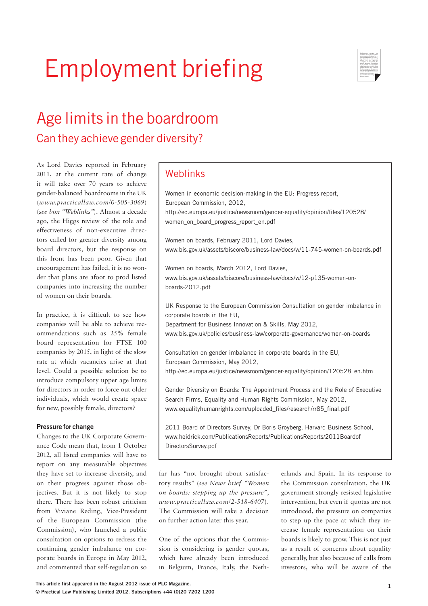# (*www.inlandrevenue.gov.uk/* Employment briefing *shareschemes*).



# Age limits in the boardroom Can they achieve gender diversity?

As Lord Davies reported in February 2011, at the current rate of change it will take over 70 years to achieve gender-balanced boardrooms in the UK (*www.practicallaw.com/0-505-3069*) (*see box "Weblinks"*). Almost a decade ago, the Higgs review of the role and effectiveness of non-executive directors called for greater diversity among board directors, but the response on this front has been poor. Given that encouragement has failed, it is no wonder that plans are afoot to prod listed companies into increasing the number of women on their boards.

In practice, it is difficult to see how companies will be able to achieve recommendations such as 25% female board representation for FTSE 100 companies by 2015, in light of the slow rate at which vacancies arise at that level. Could a possible solution be to introduce compulsory upper age limits for directors in order to force out older individuals, which would create space for new, possibly female, directors?

### **Pressure for change**

Changes to the UK Corporate Governance Code mean that, from 1 October 2012, all listed companies will have to report on any measurable objectives they have set to increase diversity, and on their progress against those objectives. But it is not likely to stop there. There has been robust criticism from Viviane Reding, Vice-President of the European Commission (the Commission), who launched a public consultation on options to redress the continuing gender imbalance on corporate boards in Europe in May 2012, and commented that self-regulation so

## Weblinks

Women in economic decision-making in the EU: Progress report, European Commission, 2012, http://ec.europa.eu/justice/newsroom/gender-equality/opinion/files/120528/ women\_on\_board\_progress\_report\_en.pdf

Women on boards, February 2011, Lord Davies, www.bis.gov.uk/assets/biscore/business-law/docs/w/11-745-women-on-boards.pdf

Women on boards, March 2012, Lord Davies, www.bis.gov.uk/assets/biscore/business-law/docs/w/12-p135-women-onboards-2012.pdf

UK Response to the European Commission Consultation on gender imbalance in corporate boards in the EU,

Department for Business Innovation & Skills, May 2012, www.bis.gov.uk/policies/business-law/corporate-governance/women-on-boards

Consultation on gender imbalance in corporate boards in the EU, European Commission, May 2012, http://ec.europa.eu/justice/newsroom/gender-equality/opinion/120528\_en.htm

Gender Diversity on Boards: The Appointment Process and the Role of Executive Search Firms, Equality and Human Rights Commission, May 2012, www.equalityhumanrights.com/uploaded\_files/research/rr85\_final.pdf

2011 Board of Directors Survey, Dr Boris Groyberg, Harvard Business School, www.heidrick.com/PublicationsReports/PublicationsReports/2011Boardof DirectorsSurvey.pdf

far has "not brought about satisfactory results" (*see News brief "Women on boards: stepping up the pressure", www.practicallaw.com/2-518-6407*). The Commission will take a decision on further action later this year.

One of the options that the Commission is considering is gender quotas, which have already been introduced in Belgium, France, Italy, the Netherlands and Spain. In its response to the Commission consultation, the UK government strongly resisted legislative intervention, but even if quotas are not introduced, the pressure on companies to step up the pace at which they increase female representation on their boards is likely to grow. This is not just as a result of concerns about equality generally, but also because of calls from investors, who will be aware of the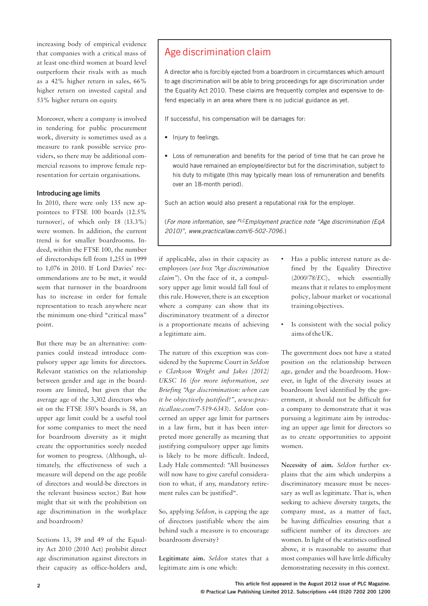increasing body of empirical evidence that companies with a critical mass of at least one-third women at board level outperform their rivals with as much as a 42% higher return in sales, 66% higher return on invested capital and 53% higher return on equity.

Moreover, where a company is involved in tendering for public procurement work, diversity is sometimes used as a measure to rank possible service providers, so there may be additional commercial reasons to improve female representation for certain organisations.

#### **Introducing age limits**

In 2010, there were only 135 new appointees to FTSE 100 boards (12.5% turnover), of which only 18 (13.3%) were women. In addition, the current trend is for smaller boardrooms. Indeed, within the FTSE 100, the number of directorships fell from 1,255 in 1999 to 1,076 in 2010. If Lord Davies' recommendations are to be met, it would seem that turnover in the boardroom has to increase in order for female representation to reach anywhere near the minimum one-third "critical mass" point.

But there may be an alternative: companies could instead introduce compulsory upper age limits for directors. Relevant statistics on the relationship between gender and age in the boardroom are limited, but given that the average age of the 3,302 directors who sit on the FTSE 350's boards is 58, an upper age limit could be a useful tool for some companies to meet the need for boardroom diversity as it might create the opportunities sorely needed for women to progress. (Although, ultimately, the effectiveness of such a measure will depend on the age profile of directors and would-be directors in the relevant business sector.) But how might that sit with the prohibition on age discrimination in the workplace and boardroom?

Sections 13, 39 and 49 of the Equality Act 2010 (2010 Act) prohibit direct age discrimination against directors in their capacity as office-holders and,

# Age discrimination claim

A director who is forcibly ejected from a boardroom in circumstances which amount to age discrimination will be able to bring proceedings for age discrimination under the Equality Act 2010. These claims are frequently complex and expensive to defend especially in an area where there is no judicial guidance as yet.

If successful, his compensation will be damages for:

- Injury to feelings.
- Loss of remuneration and benefits for the period of time that he can prove he would have remained an employee/director but for the discrimination, subject to his duty to mitigate (this may typically mean loss of remuneration and benefits over an 18-month period).

Such an action would also present a reputational risk for the employer.

(*For more information, see PLCEmployment practice note "Age discrimination (EqA 2010)", www.practicallaw.com/6-502-7096.*)

if applicable, also in their capacity as employees (*see box "Age discrimination claim"*). On the face of it, a compulsory upper age limit would fall foul of this rule. However, there is an exception where a company can show that its discriminatory treatment of a director is a proportionate means of achieving a legitimate aim.

The nature of this exception was considered by the Supreme Court in *Seldon v Clarkson Wright and Jakes [2012] UKSC 16* (*for more information, see Briefing "Age discrimination: when can it be objectively justified?", www.practicallaw.com/7-519-6343*). *Seldon* concerned an upper age limit for partners in a law firm, but it has been interpreted more generally as meaning that justifying compulsory upper age limits is likely to be more difficult. Indeed, Lady Hale commented: "All businesses will now have to give careful consideration to what, if any, mandatory retirement rules can be justified".

So, applying *Seldon*, is capping the age of directors justifiable where the aim behind such a measure is to encourage boardroom diversity?

**Legitimate aim.** *Seldon* states that a legitimate aim is one which:

- Has a public interest nature as defined by the Equality Directive (*2000/78/EC*), which essentially means that it relates to employment policy, labour market or vocational training objectives.
- Is consistent with the social policy aims of the UK.

The government does not have a stated position on the relationship between age, gender and the boardroom. However, in light of the diversity issues at boardroom level identified by the government, it should not be difficult for a company to demonstrate that it was pursuing a legitimate aim by introducing an upper age limit for directors so as to create opportunities to appoint women.

**Necessity of aim.** *Seldon* further explains that the aim which underpins a discriminatory measure must be necessary as well as legitimate. That is, when seeking to achieve diversity targets, the company must, as a matter of fact, be having difficulties ensuring that a sufficient number of its directors are women. In light of the statistics outlined above, it is reasonable to assume that most companies will have little difficulty demonstrating necessity in this context.